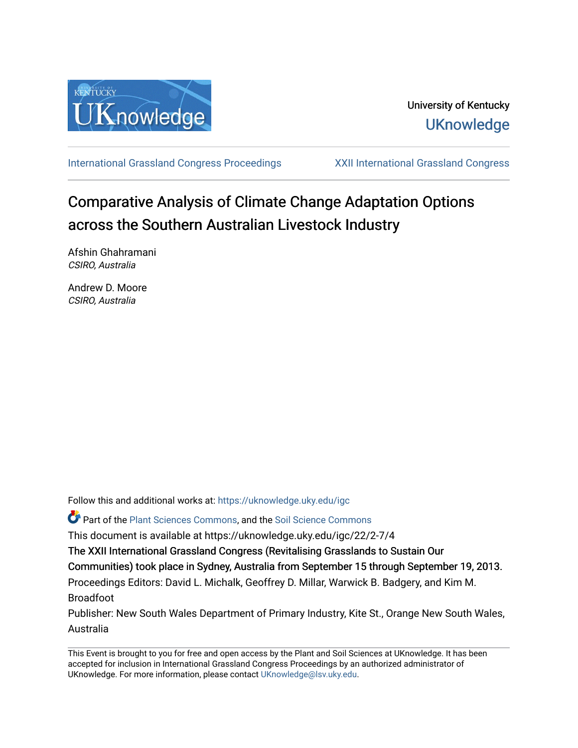

[International Grassland Congress Proceedings](https://uknowledge.uky.edu/igc) [XXII International Grassland Congress](https://uknowledge.uky.edu/igc/22) 

# Comparative Analysis of Climate Change Adaptation Options across the Southern Australian Livestock Industry

Afshin Ghahramani CSIRO, Australia

Andrew D. Moore CSIRO, Australia

Follow this and additional works at: [https://uknowledge.uky.edu/igc](https://uknowledge.uky.edu/igc?utm_source=uknowledge.uky.edu%2Figc%2F22%2F2-7%2F4&utm_medium=PDF&utm_campaign=PDFCoverPages)  Part of the [Plant Sciences Commons](http://network.bepress.com/hgg/discipline/102?utm_source=uknowledge.uky.edu%2Figc%2F22%2F2-7%2F4&utm_medium=PDF&utm_campaign=PDFCoverPages), and the [Soil Science Commons](http://network.bepress.com/hgg/discipline/163?utm_source=uknowledge.uky.edu%2Figc%2F22%2F2-7%2F4&utm_medium=PDF&utm_campaign=PDFCoverPages)  This document is available at https://uknowledge.uky.edu/igc/22/2-7/4 The XXII International Grassland Congress (Revitalising Grasslands to Sustain Our

Communities) took place in Sydney, Australia from September 15 through September 19, 2013. Proceedings Editors: David L. Michalk, Geoffrey D. Millar, Warwick B. Badgery, and Kim M. Broadfoot

Publisher: New South Wales Department of Primary Industry, Kite St., Orange New South Wales, Australia

This Event is brought to you for free and open access by the Plant and Soil Sciences at UKnowledge. It has been accepted for inclusion in International Grassland Congress Proceedings by an authorized administrator of UKnowledge. For more information, please contact [UKnowledge@lsv.uky.edu](mailto:UKnowledge@lsv.uky.edu).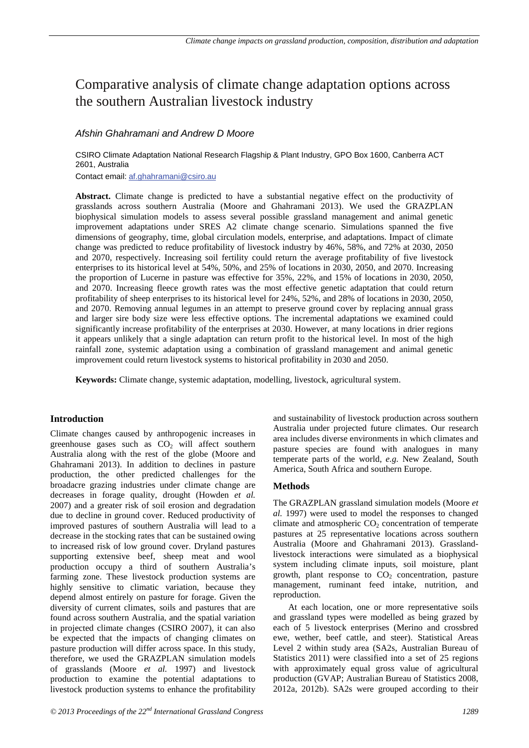# Comparative analysis of climate change adaptation options across the southern Australian livestock industry

## *Afshin Ghahramani and Andrew D Moore*

CSIRO Climate Adaptation National Research Flagship & Plant Industry, GPO Box 1600, Canberra ACT 2601, Australia

Contact email: af.ghahramani@csiro.au

Abstract. Climate change is predicted to have a substantial negative effect on the productivity of grasslands across southern Australia (Moore and Ghahramani 2013). We used the GRAZPLAN biophysical simulation models to assess several possible grassland management and animal genetic improvement adaptations under SRES A2 climate change scenario. Simulations spanned the five dimensions of geography, time, global circulation models, enterprise, and adaptations. Impact of climate change was predicted to reduce profitability of livestock industry by 46%, 58%, and 72% at 2030, 2050 and 2070, respectively. Increasing soil fertility could return the average profitability of five livestock enterprises to its historical level at 54%, 50%, and 25% of locations in 2030, 2050, and 2070. Increasing the proportion of Lucerne in pasture was effective for 35%, 22%, and 15% of locations in 2030, 2050, and 2070. Increasing fleece growth rates was the most effective genetic adaptation that could return profitability of sheep enterprises to its historical level for 24%, 52%, and 28% of locations in 2030, 2050, and 2070. Removing annual legumes in an attempt to preserve ground cover by replacing annual grass and larger sire body size were less effective options. The incremental adaptations we examined could significantly increase profitability of the enterprises at 2030. However, at many locations in drier regions it appears unlikely that a single adaptation can return profit to the historical level. In most of the high rainfall zone, systemic adaptation using a combination of grassland management and animal genetic improvement could return livestock systems to historical profitability in 2030 and 2050.

**Keywords:** Climate change, systemic adaptation, modelling, livestock, agricultural system.

### **Introduction**

Climate changes caused by anthropogenic increases in greenhouse gases such as  $CO<sub>2</sub>$  will affect southern Australia along with the rest of the globe (Moore and Ghahramani 2013). In addition to declines in pasture production, the other predicted challenges for the broadacre grazing industries under climate change are decreases in forage quality, drought (Howden *et al.* 2007) and a greater risk of soil erosion and degradation due to decline in ground cover. Reduced productivity of improved pastures of southern Australia will lead to a decrease in the stocking rates that can be sustained owing to increased risk of low ground cover. Dryland pastures supporting extensive beef, sheep meat and wool production occupy a third of southern Australia's farming zone. These livestock production systems are highly sensitive to climatic variation, because they depend almost entirely on pasture for forage. Given the diversity of current climates, soils and pastures that are found across southern Australia, and the spatial variation in projected climate changes (CSIRO 2007), it can also be expected that the impacts of changing climates on pasture production will differ across space. In this study, therefore, we used the GRAZPLAN simulation models of grasslands (Moore *et al.* 1997) and livestock production to examine the potential adaptations to livestock production systems to enhance the profitability

and sustainability of livestock production across southern Australia under projected future climates. Our research area includes diverse environments in which climates and pasture species are found with analogues in many temperate parts of the world, *e.g.* New Zealand, South America, South Africa and southern Europe.

#### **Methods**

The GRAZPLAN grassland simulation models (Moore *et al.* 1997) were used to model the responses to changed climate and atmospheric  $CO<sub>2</sub>$  concentration of temperate pastures at 25 representative locations across southern Australia (Moore and Ghahramani 2013). Grasslandlivestock interactions were simulated as a biophysical system including climate inputs, soil moisture, plant growth, plant response to  $CO<sub>2</sub>$  concentration, pasture management, ruminant feed intake, nutrition, and reproduction.

At each location, one or more representative soils and grassland types were modelled as being grazed by each of 5 livestock enterprises (Merino and crossbred ewe, wether, beef cattle, and steer). Statistical Areas Level 2 within study area (SA2s, Australian Bureau of Statistics 2011) were classified into a set of 25 regions with approximately equal gross value of agricultural production (GVAP; Australian Bureau of Statistics 2008, 2012a, 2012b). SA2s were grouped according to their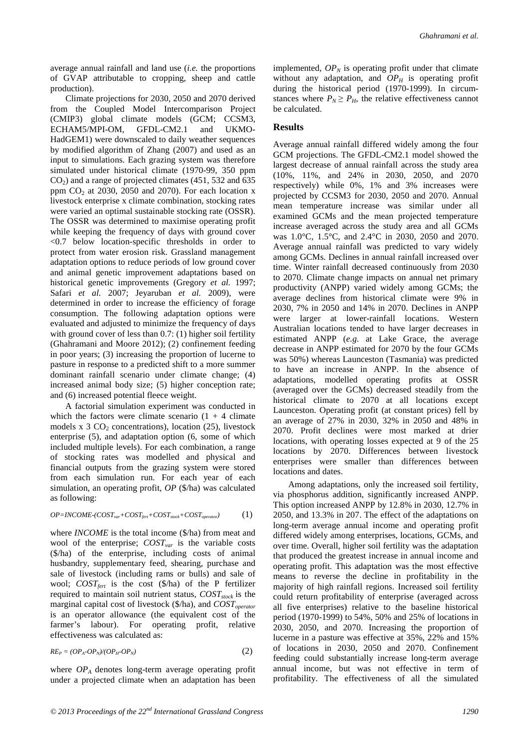average annual rainfall and land use (*i.e.* the proportions of GVAP attributable to cropping, sheep and cattle production).

Climate projections for 2030, 2050 and 2070 derived from the Coupled Model Intercomparison Project (CMIP3) global climate models (GCM; CCSM3, ECHAM5/MPI-OM, GFDL-CM2.1 and UKMO-HadGEM1) were downscaled to daily weather sequences by modified algorithm of Zhang (2007) and used as an input to simulations. Each grazing system was therefore simulated under historical climate (1970-99, 350 ppm  $CO<sub>2</sub>$ ) and a range of projected climates (451, 532 and 635 ppm  $CO<sub>2</sub>$  at 2030, 2050 and 2070). For each location x livestock enterprise x climate combination, stocking rates were varied an optimal sustainable stocking rate (OSSR). The OSSR was determined to maximise operating profit while keeping the frequency of days with ground cover <0.7 below location-specific thresholds in order to protect from water erosion risk. Grassland management adaptation options to reduce periods of low ground cover and animal genetic improvement adaptations based on historical genetic improvements (Gregory *et al.* 1997; Safari *et al.* 2007; Jeyaruban *et al.* 2009), were determined in order to increase the efficiency of forage consumption. The following adaptation options were evaluated and adjusted to minimize the frequency of days with ground cover of less than 0.7: (1) higher soil fertility (Ghahramani and Moore 2012); (2) confinement feeding in poor years; (3) increasing the proportion of lucerne to pasture in response to a predicted shift to a more summer dominant rainfall scenario under climate change; (4) increased animal body size; (5) higher conception rate; and (6) increased potential fleece weight.

A factorial simulation experiment was conducted in which the factors were climate scenario  $(1 + 4)$  climate models x  $3 \text{ CO}_2$  concentrations), location (25), livestock enterprise (5), and adaptation option (6, some of which included multiple levels). For each combination, a range of stocking rates was modelled and physical and financial outputs from the grazing system were stored from each simulation run. For each year of each simulation, an operating profit, *OP* (\$/ha) was calculated as following:

$$
OP = INCOME \cdot (COST_{var} + COST_{\text{fert}} + COST_{\text{stock}} + COST_{operator}) \tag{1}
$$

where *INCOME* is the total income (\$/ha) from meat and wool of the enterprise; *COST<sub>var</sub>* is the variable costs (\$/ha) of the enterprise, including costs of animal husbandry, supplementary feed, shearing, purchase and sale of livestock (including rams or bulls) and sale of wool;  $COST_{fert}$  is the cost (\$/ha) of the P fertilizer required to maintain soil nutrient status,  $COST_{stock}$  is the marginal capital cost of livestock (\$/ha), and *COST*<sub>operator</sub> is an operator allowance (the equivalent cost of the farmer's labour). For operating profit, relative effectiveness was calculated as:

$$
RE_P = (OP_A \text{-}OP_N)/(OP_H \text{-}OP_N) \tag{2}
$$

where  $OP_A$  denotes long-term average operating profit under a projected climate when an adaptation has been implemented,  $OP_N$  is operating profit under that climate without any adaptation, and  $OP<sub>H</sub>$  is operating profit during the historical period (1970-1999). In circumstances where  $P_N \ge P_H$ , the relative effectiveness cannot be calculated.

#### **Results**

Average annual rainfall differed widely among the four GCM projections. The GFDL-CM2.1 model showed the largest decrease of annual rainfall across the study area (10%, 11%, and 24% in 2030, 2050, and 2070 respectively) while 0%, 1% and 3% increases were projected by CCSM3 for 2030, 2050 and 2070. Annual mean temperature increase was similar under all examined GCMs and the mean projected temperature increase averaged across the study area and all GCMs was 1.0°C, 1.5°C, and 2.4°C in 2030, 2050 and 2070. Average annual rainfall was predicted to vary widely among GCMs. Declines in annual rainfall increased over time. Winter rainfall decreased continuously from 2030 to 2070. Climate change impacts on annual net primary productivity (ANPP) varied widely among GCMs; the average declines from historical climate were 9% in 2030, 7% in 2050 and 14% in 2070. Declines in ANPP were larger at lower-rainfall locations. Western Australian locations tended to have larger decreases in estimated ANPP (*e.g.* at Lake Grace, the average decrease in ANPP estimated for 2070 by the four GCMs was 50%) whereas Launceston (Tasmania) was predicted to have an increase in ANPP. In the absence of adaptations, modelled operating profits at OSSR (averaged over the GCMs) decreased steadily from the historical climate to 2070 at all locations except Launceston. Operating profit (at constant prices) fell by an average of 27% in 2030, 32% in 2050 and 48% in 2070. Profit declines were most marked at drier locations, with operating losses expected at 9 of the 25 locations by 2070. Differences between livestock enterprises were smaller than differences between locations and dates.

Among adaptations, only the increased soil fertility, via phosphorus addition, significantly increased ANPP. This option increased ANPP by 12.8% in 2030, 12.7% in 2050, and 13.3% in 207. The effect of the adaptations on long-term average annual income and operating profit differed widely among enterprises, locations, GCMs, and over time. Overall, higher soil fertility was the adaptation that produced the greatest increase in annual income and operating profit. This adaptation was the most effective means to reverse the decline in profitability in the majority of high rainfall regions. Increased soil fertility could return profitability of enterprise (averaged across all five enterprises) relative to the baseline historical period (1970-1999) to 54%, 50% and 25% of locations in 2030, 2050, and 2070. Increasing the proportion of lucerne in a pasture was effective at 35%, 22% and 15% of locations in 2030, 2050 and 2070. Confinement feeding could substantially increase long-term average annual income, but was not effective in term of profitability. The effectiveness of all the simulated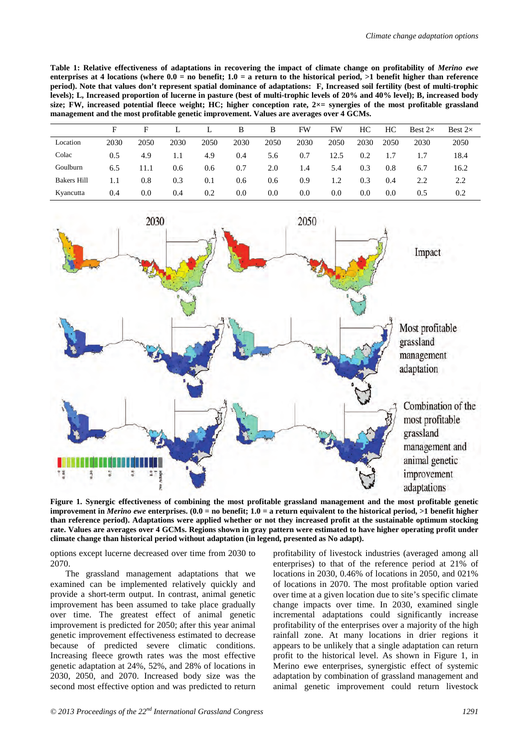**Table 1: Relative effectiveness of adaptations in recovering the impact of climate change on profitability of** *Merino ewe* **enterprises at 4 locations (where 0.0 = no benefit; 1.0 = a return to the historical period, >1 benefit higher than reference period). Note that values don't represent spatial dominance of adaptations: F, Increased soil fertility (best of multi-trophic levels); L, Increased proportion of lucerne in pasture (best of multi-trophic levels of 20% and 40% level); B, increased body size; FW, increased potential fleece weight; HC; higher conception rate, 2×= synergies of the most profitable grassland management and the most profitable genetic improvement. Values are averages over 4 GCMs.**

|                    | F    | F    |      |      | B       | В    | FW   | FW   | HС   | HС   | Best $2\times$ | Best $2\times$ |
|--------------------|------|------|------|------|---------|------|------|------|------|------|----------------|----------------|
| Location           | 2030 | 2050 | 2030 | 2050 | 2030    | 2050 | 2030 | 2050 | 2030 | 2050 | 2030           | 2050           |
| Colac              | 0.5  | 4.9  | 1.1  | 4.9  | 0.4     | 5.6  | 0.7  | 12.5 | 0.2  | 1.7  |                | 18.4           |
| Goulburn           | 6.5  | 11.1 | 0.6  | 0.6  | 0.7     | 2.0  | 1.4  | 5.4  | 0.3  | 0.8  | 6.7            | 16.2           |
| <b>Bakers Hill</b> | 1.1  | 0.8  | 0.3  | 0.1  | 0.6     | 0.6  | 0.9  | 1.2  | 0.3  | 0.4  | 2.2            | 2.2            |
| Kyancutta          | 0.4  | 0.0  | 0.4  | 0.2  | $0.0\,$ | 0.0  | 0.0  | 0.0  | 0.0  | 0.0  | 0.5            | 0.2            |



**Figure 1. Synergic effectiveness of combining the most profitable grassland management and the most profitable genetic improvement in** *Merino ewe* **enterprises. (0.0 = no benefit; 1.0 = a return equivalent to the historical period, >1 benefit higher than reference period). Adaptations were applied whether or not they increased profit at the sustainable optimum stocking rate. Values are averages over 4 GCMs. Regions shown in gray pattern were estimated to have higher operating profit under climate change than historical period without adaptation (in legend, presented as No adapt).**

options except lucerne decreased over time from 2030 to 2070.

The grassland management adaptations that we examined can be implemented relatively quickly and provide a short-term output. In contrast, animal genetic improvement has been assumed to take place gradually over time. The greatest effect of animal genetic improvement is predicted for 2050; after this year animal genetic improvement effectiveness estimated to decrease because of predicted severe climatic conditions. Increasing fleece growth rates was the most effective genetic adaptation at 24%, 52%, and 28% of locations in 2030, 2050, and 2070. Increased body size was the second most effective option and was predicted to return profitability of livestock industries (averaged among all enterprises) to that of the reference period at 21% of locations in 2030, 0.46% of locations in 2050, and 021% of locations in 2070. The most profitable option varied over time at a given location due to site's specific climate change impacts over time. In 2030, examined single incremental adaptations could significantly increase profitability of the enterprises over a majority of the high rainfall zone. At many locations in drier regions it appears to be unlikely that a single adaptation can return profit to the historical level. As shown in Figure 1, in Merino ewe enterprises, synergistic effect of systemic adaptation by combination of grassland management and animal genetic improvement could return livestock